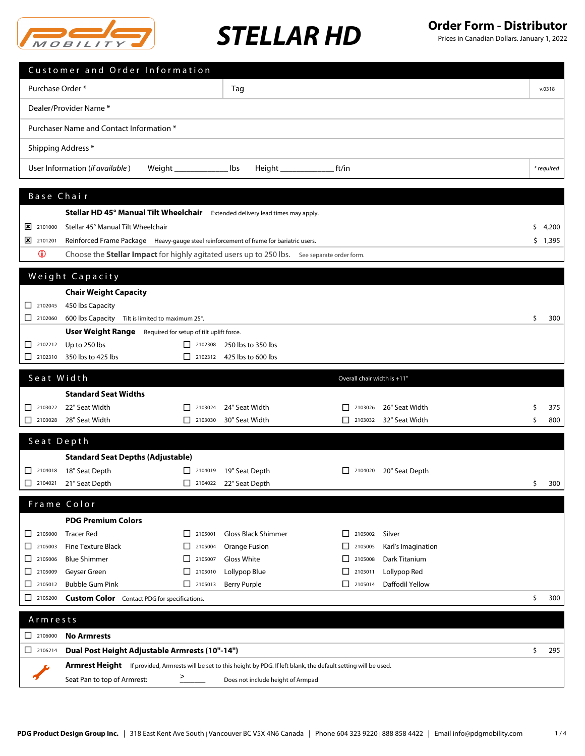

Prices in Canadian Dollars. January 1, 2022

|                                                                             | Customer and Order Information                                                                                           |                                                                                          |                                                  |                                                                |                    |    |            |
|-----------------------------------------------------------------------------|--------------------------------------------------------------------------------------------------------------------------|------------------------------------------------------------------------------------------|--------------------------------------------------|----------------------------------------------------------------|--------------------|----|------------|
| Purchase Order*                                                             |                                                                                                                          |                                                                                          | Tag                                              |                                                                |                    |    | v.0318     |
|                                                                             |                                                                                                                          |                                                                                          |                                                  |                                                                |                    |    |            |
| Dealer/Provider Name*                                                       |                                                                                                                          |                                                                                          |                                                  |                                                                |                    |    |            |
| Purchaser Name and Contact Information *                                    |                                                                                                                          |                                                                                          |                                                  |                                                                |                    |    |            |
| Shipping Address *                                                          |                                                                                                                          |                                                                                          |                                                  |                                                                |                    |    |            |
|                                                                             |                                                                                                                          |                                                                                          |                                                  |                                                                |                    |    |            |
|                                                                             | User Information (if available)                                                                                          |                                                                                          | lbs                                              | ft/in                                                          |                    |    | * required |
| Base Chair                                                                  |                                                                                                                          |                                                                                          |                                                  |                                                                |                    |    |            |
|                                                                             | Stellar HD 45° Manual Tilt Wheelchair Extended delivery lead times may apply.                                            |                                                                                          |                                                  |                                                                |                    |    |            |
| 2101000                                                                     | Stellar 45° Manual Tilt Wheelchair                                                                                       |                                                                                          |                                                  |                                                                |                    | s  | 4,200      |
| 2101201                                                                     | Reinforced Frame Package Heavy-gauge steel reinforcement of frame for bariatric users.                                   |                                                                                          |                                                  |                                                                |                    |    | \$1,395    |
| $\bf \Phi$                                                                  | Choose the <b>Stellar Impact</b> for highly agitated users up to 250 lbs. See separate order form.                       |                                                                                          |                                                  |                                                                |                    |    |            |
|                                                                             |                                                                                                                          |                                                                                          |                                                  |                                                                |                    |    |            |
|                                                                             | Weight Capacity                                                                                                          |                                                                                          |                                                  |                                                                |                    |    |            |
|                                                                             | <b>Chair Weight Capacity</b>                                                                                             |                                                                                          |                                                  |                                                                |                    |    |            |
| $\begin{array}{ c c }\n\hline\n\end{array}$ 2102045                         | 450 lbs Capacity                                                                                                         |                                                                                          |                                                  |                                                                |                    |    |            |
|                                                                             | 600 lbs Capacity Tilt is limited to maximum 25°.                                                                         |                                                                                          |                                                  |                                                                |                    | Ś. | 300        |
|                                                                             | <b>User Weight Range</b> Required for setup of tilt uplift force.                                                        |                                                                                          |                                                  |                                                                |                    |    |            |
| 2102212<br>2102310                                                          | Up to 250 lbs<br>350 lbs to 425 lbs                                                                                      | $\begin{array}{ c c }\n\hline\n\end{array}$ 2102308                                      | 250 lbs to 350 lbs<br>2102312 425 lbs to 600 lbs |                                                                |                    |    |            |
|                                                                             |                                                                                                                          |                                                                                          |                                                  |                                                                |                    |    |            |
| Seat Width                                                                  |                                                                                                                          |                                                                                          |                                                  | Overall chair width is +11"                                    |                    |    |            |
|                                                                             | <b>Standard Seat Widths</b>                                                                                              |                                                                                          |                                                  |                                                                |                    |    |            |
| 2103022                                                                     | 22" Seat Width                                                                                                           | 2103024<br>$\perp$                                                                       | 24" Seat Width                                   | 2103026                                                        | 26" Seat Width     | \$ | 375        |
|                                                                             | 2103028 28" Seat Width                                                                                                   | $\begin{array}{ c c c }\n\hline\n\multicolumn{1}{ c }{2103030} \quad\hline\n\end{array}$ | 30" Seat Width                                   | $\begin{array}{ c c }\n\hline\n\end{array}$ 2103032            | 32" Seat Width     | \$ | 800        |
| Seat Depth                                                                  |                                                                                                                          |                                                                                          |                                                  |                                                                |                    |    |            |
|                                                                             | <b>Standard Seat Depths (Adjustable)</b>                                                                                 |                                                                                          |                                                  |                                                                |                    |    |            |
|                                                                             | □ 2104018 18" Seat Depth                                                                                                 |                                                                                          | □ 2104019 19" Seat Depth                         | $\begin{array}{ c c c c c } \hline \text{2104020} \end{array}$ | 20" Seat Depth     |    |            |
|                                                                             | 2104021 21" Seat Depth                                                                                                   |                                                                                          | □ 2104022 22" Seat Depth                         |                                                                |                    | S. | 300        |
|                                                                             |                                                                                                                          |                                                                                          |                                                  |                                                                |                    |    |            |
|                                                                             | Frame Color                                                                                                              |                                                                                          |                                                  |                                                                |                    |    |            |
|                                                                             | <b>PDG Premium Colors</b>                                                                                                |                                                                                          |                                                  |                                                                |                    |    |            |
| $\begin{array}{ c c c c c } \hline \quad & 2105000 \end{array}$             | <b>Tracer Red</b>                                                                                                        | $\begin{array}{ c c }\n\hline\n\end{array}$ 2105001                                      | <b>Gloss Black Shimmer</b>                       | 2105002<br>$\perp$                                             | Silver             |    |            |
| $\Box$ 2105003                                                              | <b>Fine Texture Black</b>                                                                                                | $\boxed{\phantom{000}}$ 2105004                                                          | Orange Fusion                                    | ΙI<br>2105005                                                  | Karl's Imagination |    |            |
| $\begin{array}{ c c c }\n\hline\n2105006\n\end{array}$                      | <b>Blue Shimmer</b>                                                                                                      | $\Box$<br>2105007                                                                        | Gloss White                                      | П<br>2105008                                                   | Dark Titanium      |    |            |
|                                                                             | Geyser Green                                                                                                             | $\boxed{\phantom{0}}$ 2105010                                                            | Lollypop Blue                                    | 2105011<br>ΙI                                                  | Lollypop Red       |    |            |
|                                                                             | <b>Bubble Gum Pink</b>                                                                                                   | $\Box$ 2105013                                                                           | <b>Berry Purple</b>                              | l I<br>2105014                                                 | Daffodil Yellow    |    |            |
| $\begin{array}{ c c c c c c } \hline \quad & 2105200 \\ \hline \end{array}$ | <b>Custom Color</b> Contact PDG for specifications.                                                                      |                                                                                          |                                                  |                                                                |                    | \$ | 300        |
| Armrests                                                                    |                                                                                                                          |                                                                                          |                                                  |                                                                |                    |    |            |
| 2106000                                                                     | <b>No Armrests</b>                                                                                                       |                                                                                          |                                                  |                                                                |                    |    |            |
| $\boxed{\phantom{000}}$ 2106214                                             | Dual Post Height Adjustable Armrests (10"-14")                                                                           |                                                                                          |                                                  |                                                                |                    | \$ | 295        |
|                                                                             | Armrest Height If provided, Armrests will be set to this height by PDG. If left blank, the default setting will be used. |                                                                                          |                                                  |                                                                |                    |    |            |

 $\blacktriangledown$ Seat Pan to top of Armrest: \_\_\_\_\_\_\_ Does not include height of Armpad  $>$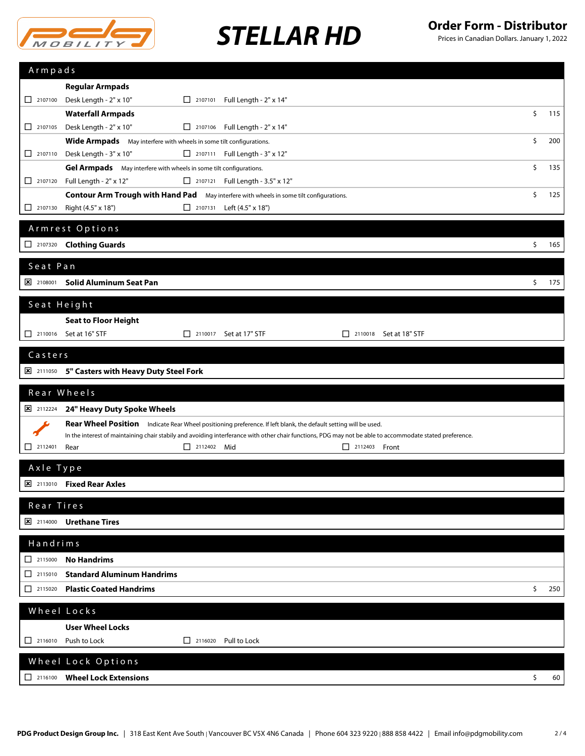

Prices in Canadian Dollars. January 1, 2022

| Armpads                  |                                                                                                                                                                                                                                                                              |           |
|--------------------------|------------------------------------------------------------------------------------------------------------------------------------------------------------------------------------------------------------------------------------------------------------------------------|-----------|
|                          | <b>Regular Armpads</b>                                                                                                                                                                                                                                                       |           |
| 2107100                  | Desk Length - 2" x 10"<br>□ 2107101 Full Length - 2" x 14"                                                                                                                                                                                                                   |           |
|                          | <b>Waterfall Armpads</b>                                                                                                                                                                                                                                                     | \$<br>115 |
| $\Box$ 2107105           | Desk Length - 2" x 10"<br>2107106 Full Length - $2" \times 14"$                                                                                                                                                                                                              |           |
|                          | Wide Armpads May interfere with wheels in some tilt configurations.                                                                                                                                                                                                          | \$<br>200 |
|                          | 2107110 Desk Length - 3" x 10"<br>$\Box$ 2107111 Full Length - 3" x 12"                                                                                                                                                                                                      |           |
|                          | Gel Armpads May interfere with wheels in some tilt configurations.                                                                                                                                                                                                           | \$<br>135 |
| 2107120                  | Full Length - 2" x 12"<br>2107121 Full Length - 3.5" x 12"                                                                                                                                                                                                                   |           |
|                          | <b>Contour Arm Trough with Hand Pad</b><br>May interfere with wheels in some tilt configurations.                                                                                                                                                                            | \$<br>125 |
| $\Box$ 2107130           | Right (4.5" x 18")<br>□ 2107131 Left (4.5" x 18")                                                                                                                                                                                                                            |           |
|                          | Armrest Options                                                                                                                                                                                                                                                              |           |
|                          | 2107320 Clothing Guards                                                                                                                                                                                                                                                      | \$<br>165 |
|                          |                                                                                                                                                                                                                                                                              |           |
| Seat Pan                 |                                                                                                                                                                                                                                                                              |           |
| 2108001                  | <b>Solid Aluminum Seat Pan</b>                                                                                                                                                                                                                                               | \$<br>175 |
| Seat Height              |                                                                                                                                                                                                                                                                              |           |
|                          | <b>Seat to Floor Height</b>                                                                                                                                                                                                                                                  |           |
|                          | □ 2110016 Set at 16" STF<br>$\Box$ 2110017 Set at 17" STF<br>$\Box$ 2110018 Set at 18" STF                                                                                                                                                                                   |           |
|                          |                                                                                                                                                                                                                                                                              |           |
| Casters                  |                                                                                                                                                                                                                                                                              |           |
| $\frac{\times}{2111050}$ | 5" Casters with Heavy Duty Steel Fork                                                                                                                                                                                                                                        |           |
|                          |                                                                                                                                                                                                                                                                              |           |
|                          | Rear Wheels                                                                                                                                                                                                                                                                  |           |
| 2112224                  |                                                                                                                                                                                                                                                                              |           |
|                          | 24" Heavy Duty Spoke Wheels                                                                                                                                                                                                                                                  |           |
|                          | Rear Wheel Position Indicate Rear Wheel positioning preference. If left blank, the default setting will be used.<br>In the interest of maintaining chair stabily and avoiding interferance with other chair functions, PDG may not be able to accommodate stated preference. |           |
| $\Box$ 2112401           | 2112402 Mid<br>Rear<br>$\Box$ 2112403 Front                                                                                                                                                                                                                                  |           |
|                          |                                                                                                                                                                                                                                                                              |           |
| Axle Type                |                                                                                                                                                                                                                                                                              |           |
|                          | X 2113010 Fixed Rear Axles                                                                                                                                                                                                                                                   |           |
| Rear Tires               |                                                                                                                                                                                                                                                                              |           |
|                          | <b>E 2114000 Urethane Tires</b>                                                                                                                                                                                                                                              |           |
|                          |                                                                                                                                                                                                                                                                              |           |
| Handrims                 |                                                                                                                                                                                                                                                                              |           |
|                          | <b>No Handrims</b>                                                                                                                                                                                                                                                           |           |
| $\Box$ 2115010           | <b>Standard Aluminum Handrims</b>                                                                                                                                                                                                                                            |           |
| $\Box$ 2115020           | <b>Plastic Coated Handrims</b>                                                                                                                                                                                                                                               | \$<br>250 |
|                          | Wheel Locks                                                                                                                                                                                                                                                                  |           |
|                          | <b>User Wheel Locks</b>                                                                                                                                                                                                                                                      |           |
|                          | $\begin{array}{ c c c }\n\hline\n2116020\n\end{array}$<br>$\Box$ 2116010 Push to Lock<br>Pull to Lock                                                                                                                                                                        |           |
|                          |                                                                                                                                                                                                                                                                              |           |
|                          | Wheel Lock Options                                                                                                                                                                                                                                                           |           |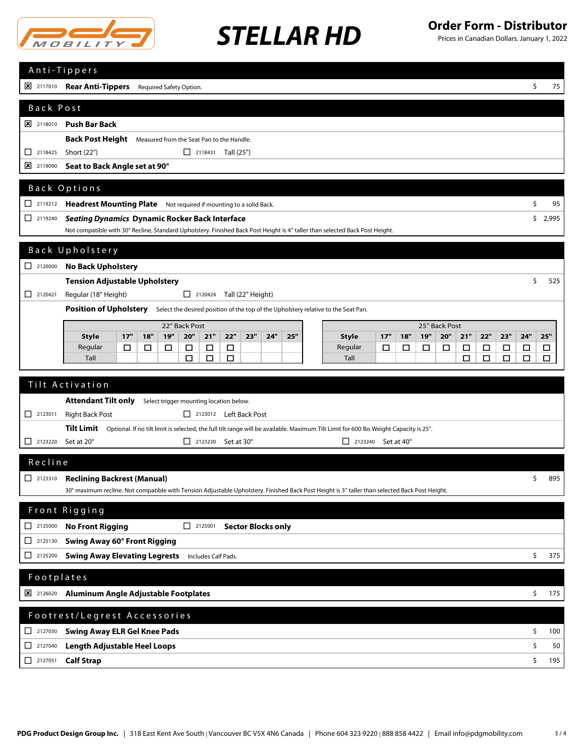

Prices in Canadian Dollars. January 1, 2022

|                                                                          | Anti-Tippers                                                                                                                                                                                     |    |     |  |  |  |
|--------------------------------------------------------------------------|--------------------------------------------------------------------------------------------------------------------------------------------------------------------------------------------------|----|-----|--|--|--|
|                                                                          | [X] 2117010 Rear Anti-Tippers Required Safety Option.                                                                                                                                            | \$ | 75  |  |  |  |
| Back Post                                                                |                                                                                                                                                                                                  |    |     |  |  |  |
|                                                                          | <b>X</b> 2118010 Push Bar Back                                                                                                                                                                   |    |     |  |  |  |
|                                                                          | <b>Back Post Height</b> Measured from the Seat Pan to the Handle.                                                                                                                                |    |     |  |  |  |
| $\Box$ 2118425                                                           | Short (22")<br>$\Box$ 2118431 Tall (25")                                                                                                                                                         |    |     |  |  |  |
| ⊠<br>2119090                                                             | Seat to Back Angle set at 90°                                                                                                                                                                    |    |     |  |  |  |
|                                                                          | Back Options                                                                                                                                                                                     |    |     |  |  |  |
|                                                                          |                                                                                                                                                                                                  |    | 95  |  |  |  |
|                                                                          | Headrest Mounting Plate Not required if mounting to a solid Back.<br>\$                                                                                                                          |    |     |  |  |  |
|                                                                          | <b>Seating Dynamics Dynamic Rocker Back Interface</b><br>\$2,995<br>Not compatible with 30° Recline, Standard Upholstery. Finished Back Post Height is 4" taller than selected Back Post Height. |    |     |  |  |  |
|                                                                          |                                                                                                                                                                                                  |    |     |  |  |  |
|                                                                          | Back Upholstery                                                                                                                                                                                  |    |     |  |  |  |
| $\begin{array}{ c c c }\n\hline\n2120000\n\end{array}$                   | <b>No Back Upholstery</b>                                                                                                                                                                        |    |     |  |  |  |
| $\Box$ 2120421                                                           | <b>Tension Adjustable Upholstery</b><br>Regular (18" Height)<br>2120424 Tall (22" Height)                                                                                                        | \$ | 525 |  |  |  |
|                                                                          | Position of Upholstery Select the desired position of the top of the Upholstery relative to the Seat Pan.                                                                                        |    |     |  |  |  |
|                                                                          | 22" Back Post                                                                                                                                                                                    |    |     |  |  |  |
|                                                                          | 25" Back Post<br>19"<br>20"<br>20"<br>22"<br>23"<br>17"<br>18"<br>21"<br>22"<br>23"<br>24"<br>25"<br>17"<br>19"<br>21"<br>24"<br><b>Style</b><br><b>Style</b><br>18"                             |    | 25" |  |  |  |
|                                                                          | Regular<br>$\Box$<br>Regular<br>$\Box$<br>$\Box$<br>□<br>□<br>□<br>□<br>□<br>□<br>□<br>□<br>□<br>□<br>□                                                                                          |    | □   |  |  |  |
|                                                                          | Tall<br>□<br>□<br>Tall<br>$\Box$<br>□<br>□<br>□<br>□                                                                                                                                             |    | □   |  |  |  |
|                                                                          | Tilt Activation                                                                                                                                                                                  |    |     |  |  |  |
|                                                                          | Attendant Tilt only Select trigger mounting location below.                                                                                                                                      |    |     |  |  |  |
| $\Box$ 2123011                                                           | <b>Right Back Post</b><br>2123012 Left Back Post                                                                                                                                                 |    |     |  |  |  |
|                                                                          | Tilt Limit Optional. If no tilt limit is selected, the full tilt range will be available. Maximum Tilt Limit for 600 lbs Weight Capacity is 25°.                                                 |    |     |  |  |  |
|                                                                          | Set at 20°<br>$\Box$ 2123230 Set at 30°<br>$\Box$ 2123240 Set at 40°                                                                                                                             |    |     |  |  |  |
| Recline                                                                  |                                                                                                                                                                                                  |    |     |  |  |  |
|                                                                          | <b>Reclining Backrest (Manual)</b>                                                                                                                                                               | \$ | 895 |  |  |  |
|                                                                          | 30° maximum recline. Not compatible with Tension Adjustable Upholstery. Finished Back Post Height is 3″ taller than selected Back Post Height.                                                   |    |     |  |  |  |
|                                                                          | Front Rigging                                                                                                                                                                                    |    |     |  |  |  |
|                                                                          |                                                                                                                                                                                                  |    |     |  |  |  |
| $\begin{array}{ c c c }\n\hline\n2125000\n\end{array}$<br>$\Box$ 2125130 | <b>No Front Rigging</b><br>2125001 Sector Blocks only<br>Swing Away 60° Front Rigging                                                                                                            |    |     |  |  |  |
| □<br>2125200                                                             | <b>Swing Away Elevating Legrests</b> Includes Calf Pads.                                                                                                                                         | \$ | 375 |  |  |  |
|                                                                          |                                                                                                                                                                                                  |    |     |  |  |  |
| Footplates                                                               |                                                                                                                                                                                                  |    |     |  |  |  |
|                                                                          | 8 2126020 Aluminum Angle Adjustable Footplates                                                                                                                                                   | \$ | 175 |  |  |  |
|                                                                          | Footrest/Legrest Accessories                                                                                                                                                                     |    |     |  |  |  |
| $\Box$ 2127030                                                           | <b>Swing Away ELR Gel Knee Pads</b>                                                                                                                                                              | \$ | 100 |  |  |  |
| □<br>2127040                                                             | <b>Length Adjustable Heel Loops</b>                                                                                                                                                              | \$ | 50  |  |  |  |
| $\boxed{\phantom{1}}$ 2127051                                            | <b>Calf Strap</b>                                                                                                                                                                                | \$ | 195 |  |  |  |
|                                                                          |                                                                                                                                                                                                  |    |     |  |  |  |